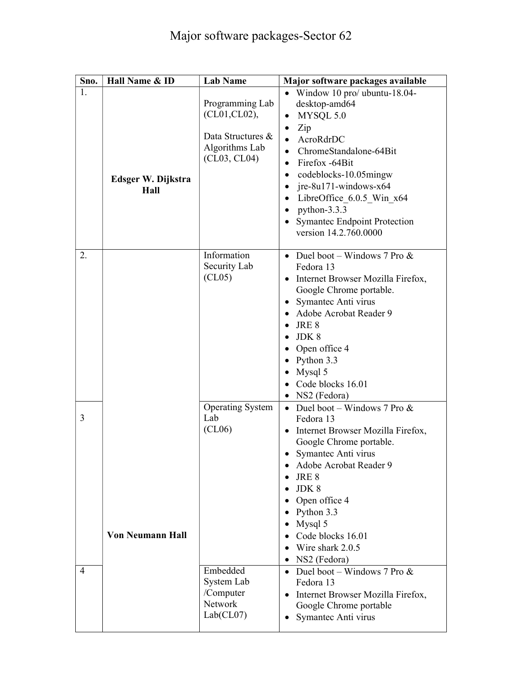| Sno. | Hall Name & ID             | <b>Lab Name</b>                                                                         | Major software packages available                                                                                                                                                                                                                                                                                                                                                                                  |
|------|----------------------------|-----------------------------------------------------------------------------------------|--------------------------------------------------------------------------------------------------------------------------------------------------------------------------------------------------------------------------------------------------------------------------------------------------------------------------------------------------------------------------------------------------------------------|
| 1.   | Edsger W. Dijkstra<br>Hall | Programming Lab<br>(CL01, CL02),<br>Data Structures &<br>Algorithms Lab<br>(CL03, CL04) | • Window $10$ pro/ ubuntu-18.04-<br>desktop-amd64<br>MYSQL 5.0<br>$\bullet$<br>Zip<br>$\bullet$<br>AcroRdrDC<br>$\bullet$<br>ChromeStandalone-64Bit<br>Firefox -64Bit<br>$\bullet$<br>$codeblocks-10.05mingw$<br>٠<br>$ire-8u171$ -windows-x64<br>$\bullet$<br>LibreOffice 6.0.5 Win x64<br>$\bullet$<br>python- $3.3.3$<br>$\bullet$<br><b>Symantec Endpoint Protection</b><br>$\bullet$<br>version 14.2.760.0000 |
| 2.   |                            | Information<br>Security Lab<br>(CL05)                                                   | Duel boot – Windows 7 Pro $\&$<br>$\bullet$<br>Fedora 13<br>• Internet Browser Mozilla Firefox,<br>Google Chrome portable.<br>• Symantec Anti virus<br>• Adobe Acrobat Reader 9<br>JRE 8<br>JDK 8<br>• Open office $4$<br>Python 3.3<br>$\bullet$<br>Mysql 5<br>$\bullet$<br>• Code blocks 16.01<br>NS2 (Fedora)<br>$\bullet$                                                                                      |
| 3    | <b>Von Neumann Hall</b>    | <b>Operating System</b><br>Lab<br>(CL06)                                                | Duel boot – Windows 7 Pro $\&$<br>$\bullet$<br>Fedora 13<br>Internet Browser Mozilla Firefox,<br>$\bullet$<br>Google Chrome portable.<br>Symantec Anti virus<br>٠<br>Adobe Acrobat Reader 9<br>$\bullet$<br>JRE 8<br>$\bullet$<br>JDK8<br>Open office 4<br>$\bullet$<br>• Python $3.3$<br>Mysql 5<br>$\bullet$<br>Code blocks 16.01<br>$\bullet$<br>Wire shark 2.0.5<br>• NS2 (Fedora)                             |
| 4    |                            | Embedded<br>System Lab<br>/Computer<br>Network<br>Lab(CL07)                             | Duel boot – Windows 7 Pro $\&$<br>$\bullet$<br>Fedora 13<br>Internet Browser Mozilla Firefox,<br>$\bullet$<br>Google Chrome portable<br>Symantec Anti virus                                                                                                                                                                                                                                                        |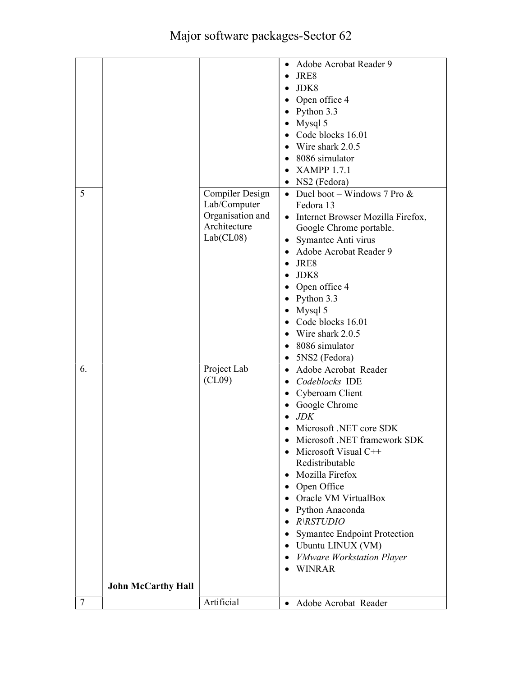|        |                           |                  | Adobe Acrobat Reader 9<br>$\bullet$              |
|--------|---------------------------|------------------|--------------------------------------------------|
|        |                           |                  | JRE8<br>$\bullet$                                |
|        |                           |                  | JDK8                                             |
|        |                           |                  | Open office 4                                    |
|        |                           |                  | Python 3.3<br>$\bullet$                          |
|        |                           |                  | Mysql 5<br>$\bullet$                             |
|        |                           |                  | Code blocks 16.01                                |
|        |                           |                  | Wire shark 2.0.5<br>$\bullet$                    |
|        |                           |                  | • 8086 simulator                                 |
|        |                           |                  | <b>XAMPP 1.7.1</b>                               |
|        |                           |                  | NS2 (Fedora)<br>$\bullet$                        |
| 5      |                           | Compiler Design  | • Duel boot – Windows 7 Pro $&$                  |
|        |                           | Lab/Computer     | Fedora 13                                        |
|        |                           | Organisation and | Internet Browser Mozilla Firefox,<br>$\bullet$   |
|        |                           | Architecture     | Google Chrome portable.                          |
|        |                           | Lab(CL08)        | • Symantec Anti virus                            |
|        |                           |                  | Adobe Acrobat Reader 9<br>$\bullet$              |
|        |                           |                  | JRE8<br>$\bullet$                                |
|        |                           |                  | JDK8<br>$\bullet$                                |
|        |                           |                  | Open office 4                                    |
|        |                           |                  | Python 3.3<br>$\bullet$                          |
|        |                           |                  |                                                  |
|        |                           |                  | $\bullet$ Mysql 5                                |
|        |                           |                  | • Code blocks 16.01                              |
|        |                           |                  | Wire shark 2.0.5<br>$\bullet$                    |
|        |                           |                  | • 8086 simulator                                 |
|        |                           |                  | 5NS2 (Fedora)<br>$\bullet$                       |
| 6.     |                           | Project Lab      | Adobe Acrobat Reader<br>$\bullet$                |
|        |                           | (CL09)           | • Codeblocks IDE                                 |
|        |                           |                  | • Cyberoam Client                                |
|        |                           |                  | Google Chrome<br>$\bullet$                       |
|        |                           |                  | <b>JDK</b><br>$\bullet$                          |
|        |                           |                  | Microsoft .NET core SDK                          |
|        |                           |                  | Microsoft .NET framework SDK                     |
|        |                           |                  | Microsoft Visual C++<br>$\bullet$                |
|        |                           |                  | Redistributable                                  |
|        |                           |                  | • Mozilla Firefox                                |
|        |                           |                  | Open Office                                      |
|        |                           |                  | Oracle VM VirtualBox<br>$\bullet$                |
|        |                           |                  | • Python Anaconda                                |
|        |                           |                  | $\bullet$ R\RSTUDIO                              |
|        |                           |                  | <b>Symantec Endpoint Protection</b><br>$\bullet$ |
|        |                           |                  | • Ubuntu LINUX (VM)                              |
|        |                           |                  | • VMware Workstation Player                      |
|        |                           |                  | WINRAR                                           |
|        |                           |                  |                                                  |
|        | <b>John McCarthy Hall</b> |                  |                                                  |
| $\tau$ |                           | Artificial       | Adobe Acrobat Reader<br>$\bullet$                |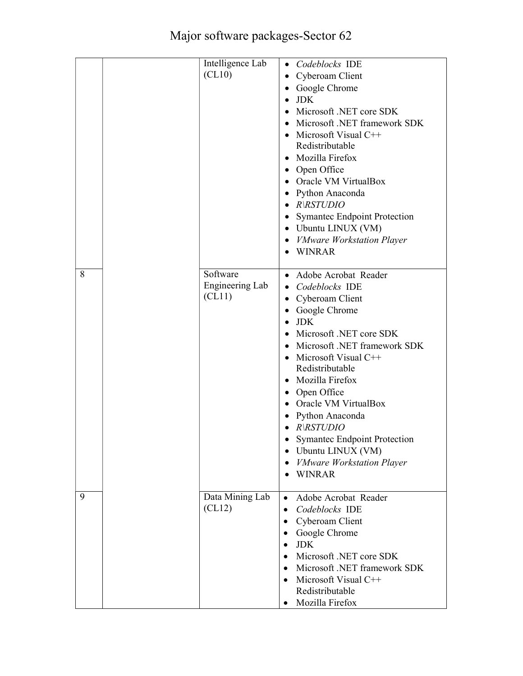## Major software packages-Sector 62

|   | Intelligence Lab<br>(CL10)            | • Codeblocks IDE<br>Cyberoam Client<br>$\bullet$<br>Google Chrome<br>$\bullet$<br>$\bullet$ JDK<br>• Microsoft .NET core SDK<br>Microsoft .NET framework SDK<br>• Microsoft Visual $C++$<br>Redistributable<br>• Mozilla Firefox<br>• Open Office<br>• Oracle VM VirtualBox<br>• Python Anaconda<br>$\bullet$ R\RSTUDIO<br>• Symantec Endpoint Protection<br>• Ubuntu LINUX (VM)<br>• <i>VMware Workstation Player</i><br>• WINRAR                   |
|---|---------------------------------------|------------------------------------------------------------------------------------------------------------------------------------------------------------------------------------------------------------------------------------------------------------------------------------------------------------------------------------------------------------------------------------------------------------------------------------------------------|
| 8 | Software<br>Engineering Lab<br>(CL11) | • Adobe Acrobat Reader<br>Codeblocks IDE<br>• Cyberoam Client<br>• Google Chrome<br>$\bullet$ JDK<br>Microsoft .NET core SDK<br>• Microsoft .NET framework SDK<br>• Microsoft Visual $C++$<br>Redistributable<br>• Mozilla Firefox<br>• Open Office<br>• Oracle VM VirtualBox<br>Python Anaconda<br>$\bullet$<br>$\bullet$ R\RSTUDIO<br><b>Symantec Endpoint Protection</b><br>• Ubuntu LINUX (VM)<br>• <i>VMware Workstation Player</i><br>• WINRAR |
| 9 | Data Mining Lab<br>(CL12)             | Adobe Acrobat Reader<br>$\bullet$<br>Codeblocks IDE<br>$\bullet$<br>Cyberoam Client<br>$\bullet$<br>Google Chrome<br>$\bullet$<br><b>JDK</b><br>$\bullet$<br>Microsoft .NET core SDK<br>Microsoft .NET framework SDK<br>Microsoft Visual C++<br>Redistributable<br>Mozilla Firefox                                                                                                                                                                   |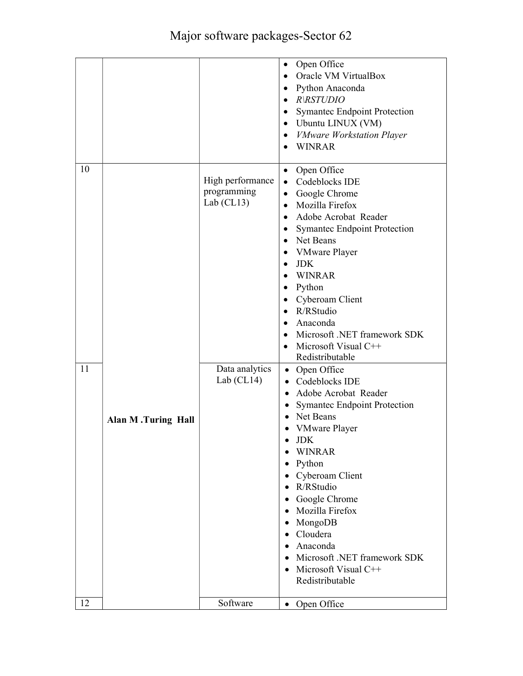|          |                           |                                                                                   | Open Office<br>$\bullet$<br>• Oracle VM VirtualBox<br>• Python Anaconda<br>$\bullet$ R\RSTUDIO<br>• Symantec Endpoint Protection<br>• Ubuntu LINUX (VM)<br>• VMware Workstation Player<br>WINRAR<br>$\bullet$                                                                                                                                                                                                                                                                                                                                                                                                                                                                                                                                                                                                                                                               |
|----------|---------------------------|-----------------------------------------------------------------------------------|-----------------------------------------------------------------------------------------------------------------------------------------------------------------------------------------------------------------------------------------------------------------------------------------------------------------------------------------------------------------------------------------------------------------------------------------------------------------------------------------------------------------------------------------------------------------------------------------------------------------------------------------------------------------------------------------------------------------------------------------------------------------------------------------------------------------------------------------------------------------------------|
| 10<br>11 | <b>Alan M.Turing Hall</b> | High performance<br>programming<br>Lab $(CL13)$<br>Data analytics<br>Lab $(CL14)$ | Open Office<br>$\bullet$<br>Codeblocks IDE<br>$\bullet$<br>• Google Chrome<br>Mozilla Firefox<br>$\bullet$<br>Adobe Acrobat Reader<br>$\bullet$<br>• Symantec Endpoint Protection<br>• Net Beans<br>VMware Player<br>$\bullet$<br><b>JDK</b><br>$\bullet$<br>• WINRAR<br>$\bullet$ Python<br>• Cyberoam Client<br>· R/RStudio<br>• Anaconda<br>Microsoft .NET framework SDK<br>$\bullet$<br>Microsoft Visual C++<br>$\bullet$<br>Redistributable<br>• Open Office<br>• Codeblocks IDE<br>• Adobe Acrobat Reader<br><b>Symantec Endpoint Protection</b><br>٠<br>Net Beans<br>$\bullet$<br>• VMware Player<br><b>JDK</b><br>WINRAR<br>Python<br>$\bullet$<br>Cyberoam Client<br>$\bullet$<br>R/RStudio<br>Google Chrome<br>• Mozilla Firefox<br>• MongoDB<br>Cloudera<br>$\bullet$<br>· Anaconda<br>• Microsoft .NET framework SDK<br>Microsoft Visual C++<br>Redistributable |
| 12       |                           | Software                                                                          | • Open Office                                                                                                                                                                                                                                                                                                                                                                                                                                                                                                                                                                                                                                                                                                                                                                                                                                                               |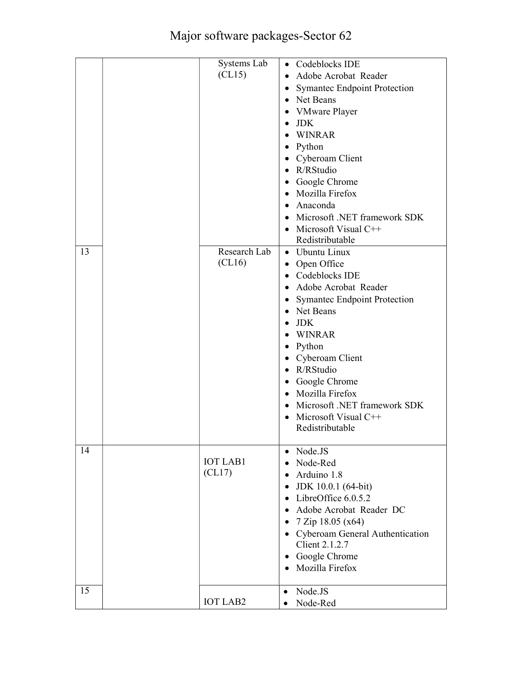|    | Systems Lab<br>CL15)     | • Codeblocks IDE<br>Adobe Acrobat Reader<br>$\bullet$<br><b>Symantec Endpoint Protection</b><br>$\bullet$<br>• Net Beans<br>• VMware Player<br>$\bullet$ JDK<br>WINRAR<br>• Python<br>• Cyberoam Client<br>• R/RStudio<br>• Google Chrome<br>• Mozilla Firefox<br>Anaconda<br>$\bullet$<br>• Microsoft .NET framework SDK                                                          |
|----|--------------------------|------------------------------------------------------------------------------------------------------------------------------------------------------------------------------------------------------------------------------------------------------------------------------------------------------------------------------------------------------------------------------------|
|    |                          | • Microsoft Visual $C++$                                                                                                                                                                                                                                                                                                                                                           |
| 13 | Research Lab<br>(CL16)   | Redistributable<br>• Ubuntu Linux<br>• Open Office<br>• Codeblocks IDE<br>Adobe Acrobat Reader<br>• Symantec Endpoint Protection<br>• Net Beans<br>$\bullet$ JDK<br>WINRAR<br>• Python<br>• Cyberoam Client<br>R/RStudio<br>$\bullet$<br>• Google Chrome<br>• Mozilla Firefox<br>Microsoft .NET framework SDK<br>$\bullet$<br>Microsoft Visual C++<br>$\bullet$<br>Redistributable |
| 14 | <b>IOT LAB1</b><br>CL17) | Node.JS<br>$\bullet$<br>Node-Red<br>$\bullet$<br>Arduino 1.8<br>$\bullet$<br>JDK 10.0.1 (64-bit)<br>$\bullet$<br>LibreOffice 6.0.5.2<br>$\bullet$<br>Adobe Acrobat Reader DC<br>$\bullet$<br>• $7 \text{ Zip } 18.05 \text{ (x64)}$<br>• Cyberoam General Authentication<br>Client 2.1.2.7<br>Google Chrome<br>$\bullet$<br>• Mozilla Firefox                                      |
| 15 | <b>IOT LAB2</b>          | Node.JS<br>$\bullet$<br>Node-Red<br>$\bullet$                                                                                                                                                                                                                                                                                                                                      |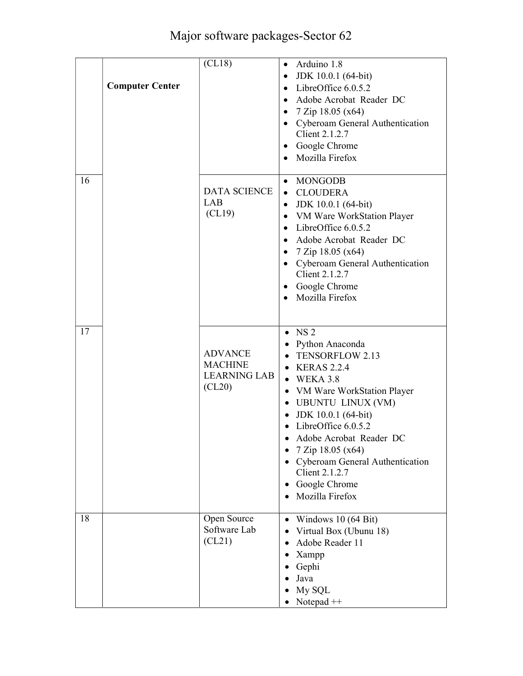## Major software packages-Sector 62

|    | <b>Computer Center</b> | (CL18)                                                            | • Arduino 1.8<br>• JDK 10.0.1 $(64-bit)$<br>LibreOffice 6.0.5.2<br>$\bullet$<br>· Adobe Acrobat Reader DC<br>• $7 \text{ Zip } 18.05 \text{ (x64)}$<br>• Cyberoam General Authentication<br>Client 2.1.2.7<br>• Google Chrome<br>Mozilla Firefox<br>$\bullet$                                                                                                                            |
|----|------------------------|-------------------------------------------------------------------|------------------------------------------------------------------------------------------------------------------------------------------------------------------------------------------------------------------------------------------------------------------------------------------------------------------------------------------------------------------------------------------|
| 16 |                        | <b>DATA SCIENCE</b><br>LAB<br>CL19)                               | MONGODB<br>$\bullet$<br>• CLOUDERA<br>JDK 10.0.1 (64-bit)<br>$\bullet$<br>• VM Ware WorkStation Player<br>$\bullet$ LibreOffice 6.0.5.2<br>• Adobe Acrobat Reader DC<br>• $7 \text{ Zip } 18.05 \text{ (x64)}$<br>• Cyberoam General Authentication<br>Client 2.1.2.7<br>Google Chrome<br>٠<br>Mozilla Firefox                                                                           |
| 17 |                        | <b>ADVANCE</b><br><b>MACHINE</b><br><b>LEARNING LAB</b><br>(CL20) | $\bullet$ NS 2<br>• Python Anaconda<br>• TENSORFLOW 2.13<br>$\bullet$ KERAS 2.2.4<br>$\bullet$ WEKA 3.8<br>• VM Ware WorkStation Player<br>• UBUNTU LINUX (VM)<br>JDK 10.0.1 (64-bit)<br>$\bullet$<br>$\bullet$ LibreOffice 6.0.5.2<br>Adobe Acrobat Reader DC<br>7 Zip 18.05 (x64)<br>Cyberoam General Authentication<br><b>Client 2.1.2.7</b><br>Google Chrome<br>٠<br>Mozilla Firefox |
| 18 |                        | Open Source<br>Software Lab<br>(CL21)                             | • Windows $10(64 \text{ Bit})$<br>Virtual Box (Ubunu 18)<br>$\bullet$<br>Adobe Reader 11<br>Xampp<br>٠<br>Gephi<br>Java<br>My SQL<br>Notepad $++$                                                                                                                                                                                                                                        |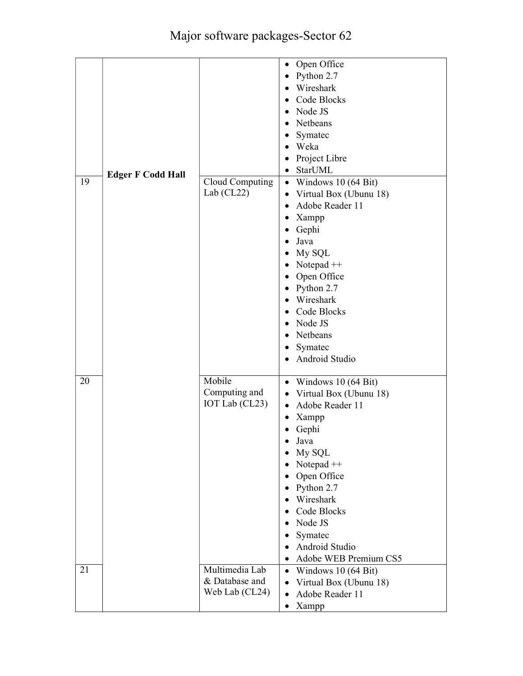|    |                          |                 | Open Office<br>$\bullet$                               |
|----|--------------------------|-----------------|--------------------------------------------------------|
|    |                          |                 | Python 2.7<br>$\bullet$                                |
|    |                          |                 | Wireshark<br>$\bullet$                                 |
|    |                          |                 | Code Blocks<br>$\bullet$                               |
|    |                          |                 | Node JS<br>$\bullet$                                   |
|    |                          |                 | Netbeans<br>$\bullet$                                  |
|    |                          |                 | Symatec                                                |
|    |                          |                 | Weka<br>$\bullet$                                      |
|    |                          |                 | Project Libre<br>$\bullet$                             |
|    |                          |                 | StarUML<br>$\bullet$                                   |
| 19 | <b>Edger F Codd Hall</b> | Cloud Computing | • Windows $10(64 \text{ Bit})$                         |
|    |                          | Lab $(CL22)$    | • Virtual Box (Ubunu 18)                               |
|    |                          |                 | Adobe Reader 11<br>$\bullet$                           |
|    |                          |                 | Xampp<br>$\bullet$                                     |
|    |                          |                 | Gephi<br>$\bullet$                                     |
|    |                          |                 | Java<br>$\bullet$                                      |
|    |                          |                 | My SQL<br>$\bullet$                                    |
|    |                          |                 | Notepad $++$<br>$\bullet$                              |
|    |                          |                 | Open Office                                            |
|    |                          |                 | $\bullet$                                              |
|    |                          |                 | Python 2.7<br>$\bullet$                                |
|    |                          |                 | Wireshark<br>$\bullet$                                 |
|    |                          |                 | Code Blocks<br>$\bullet$                               |
|    |                          |                 | Node JS<br>$\bullet$                                   |
|    |                          |                 | Netbeans<br>$\bullet$                                  |
|    |                          |                 | Symatec<br>$\bullet$                                   |
|    |                          |                 | Android Studio<br>$\bullet$                            |
|    |                          |                 |                                                        |
| 20 |                          | Mobile          | Windows $10(64 \text{ Bit})$<br>$\bullet$              |
|    |                          | Computing and   | Virtual Box (Ubunu 18)<br>$\bullet$                    |
|    |                          | IOT Lab (CL23)  | Adobe Reader 11<br>$\bullet$                           |
|    |                          |                 | Xampp<br>٠                                             |
|    |                          |                 | Gephi<br>$\bullet$                                     |
|    |                          |                 | Java                                                   |
|    |                          |                 | My SQL<br>$\bullet$                                    |
|    |                          |                 | Notepad $++$<br>$\bullet$                              |
|    |                          |                 | Open Office                                            |
|    |                          |                 | Python 2.7<br>$\bullet$                                |
|    |                          |                 | Wireshark<br>$\bullet$                                 |
|    |                          |                 | Code Blocks<br>$\bullet$                               |
|    |                          |                 | Node JS<br>$\bullet$                                   |
|    |                          |                 | Symatec<br>$\bullet$                                   |
|    |                          |                 | Android Studio<br>$\bullet$                            |
|    |                          |                 | Adobe WEB Premium CS5<br>$\bullet$                     |
| 21 |                          | Multimedia Lab  | $\bullet$                                              |
|    |                          |                 |                                                        |
|    |                          | & Database and  | $\bullet$                                              |
|    |                          | Web Lab (CL24)  | Virtual Box (Ubunu 18)<br>Adobe Reader 11<br>$\bullet$ |
|    |                          |                 | Windows 10 (64 Bit)                                    |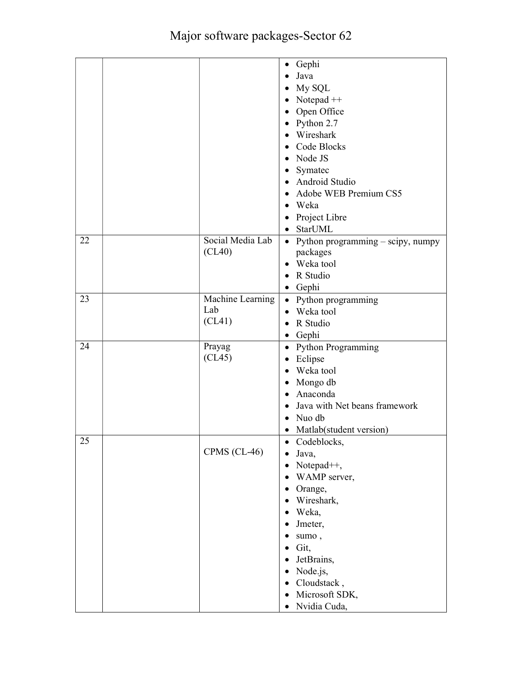|    |                  | • Gephi                                    |
|----|------------------|--------------------------------------------|
|    |                  | Java<br>$\bullet$                          |
|    |                  | My SQL                                     |
|    |                  | $\bullet$                                  |
|    |                  | Notepad $++$<br>$\bullet$                  |
|    |                  | Open Office<br>$\bullet$                   |
|    |                  | Python 2.7<br>$\bullet$                    |
|    |                  | Wireshark<br>$\bullet$                     |
|    |                  | Code Blocks<br>$\bullet$                   |
|    |                  | • Node JS                                  |
|    |                  | Symatec<br>$\bullet$                       |
|    |                  | • Android Studio                           |
|    |                  | Adobe WEB Premium CS5<br>$\bullet$         |
|    |                  | Weka<br>$\bullet$                          |
|    |                  | Project Libre<br>$\bullet$                 |
|    |                  | • StarUML                                  |
| 22 | Social Media Lab | • Python programming - scipy, numpy        |
|    | (CL40)           | packages                                   |
|    |                  | • Weka tool                                |
|    |                  | R Studio<br>$\bullet$                      |
|    |                  | • Gephi                                    |
| 23 | Machine Learning | • Python programming                       |
|    | Lab              | Weka tool<br>$\bullet$                     |
|    | (CL41)           | R Studio                                   |
|    |                  | $\bullet$                                  |
|    |                  | Gephi<br>٠                                 |
| 24 | Prayag           | • Python Programming                       |
|    | (CL45)           | Eclipse<br>$\bullet$                       |
|    |                  | Weka tool<br>$\bullet$                     |
|    |                  | Mongo db<br>$\bullet$                      |
|    |                  | Anaconda<br>$\bullet$                      |
|    |                  | Java with Net beans framework<br>$\bullet$ |
|    |                  | Nuo db<br>$\bullet$                        |
|    |                  | Matlab(student version)<br>$\bullet$       |
| 25 |                  | Codeblocks,                                |
|    | CPMS (CL-46)     | Java,<br>$\bullet$                         |
|    |                  | Notepad <sup>++</sup> ,<br>$\bullet$       |
|    |                  | WAMP server,<br>$\bullet$                  |
|    |                  | Orange,<br>$\bullet$                       |
|    |                  | Wireshark,<br>$\bullet$                    |
|    |                  | Weka,<br>$\bullet$                         |
|    |                  | Jmeter,<br>$\bullet$                       |
|    |                  | sumo,<br>$\bullet$                         |
|    |                  | Git,<br>$\bullet$                          |
|    |                  | JetBrains,<br>$\bullet$                    |
|    |                  | Node.js,<br>$\bullet$                      |
|    |                  | Cloudstack,                                |
|    |                  | $\bullet$                                  |
|    |                  | Microsoft SDK,<br>$\bullet$                |
|    |                  | Nvidia Cuda,<br>$\bullet$                  |